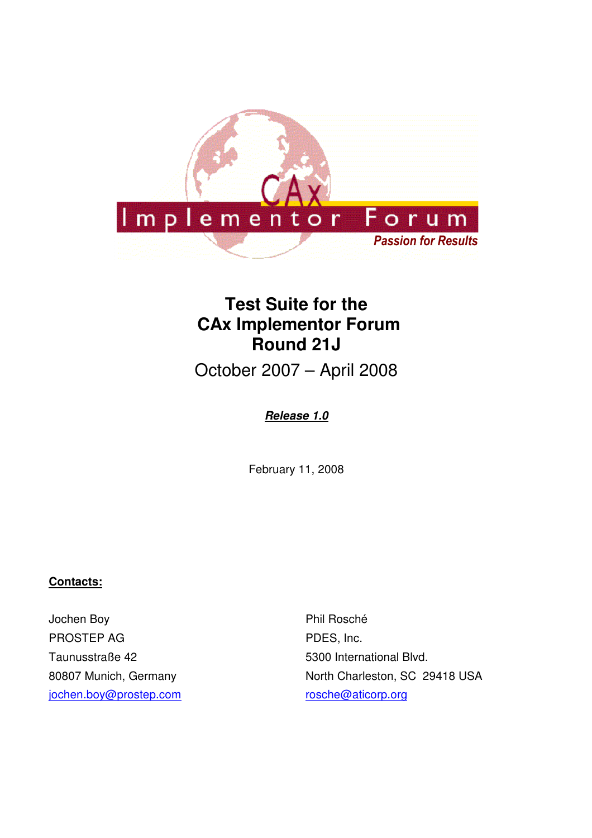

# **Test Suite for the CAx Implementor Forum Round 21J**

October 2007 – April 2008

## **Release 1.0**

February 11, 2008

#### **Contacts:**

Jochen Boy PROSTEP AG Taunusstraße 42 80807 Munich, Germany jochen.boy@prostep.com

Phil Rosché PDES, Inc. 5300 International Blvd. North Charleston, SC 29418 USA rosche@aticorp.org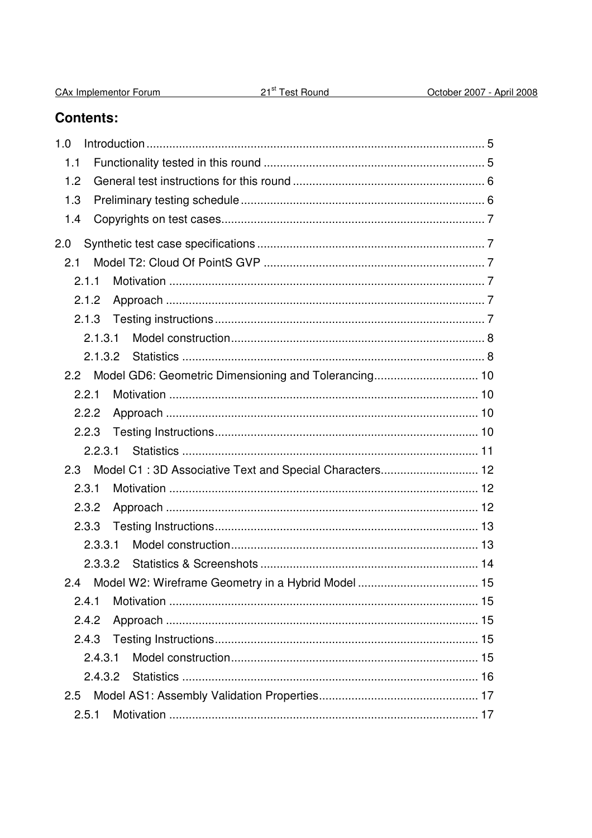| CAx Implementor Forum |
|-----------------------|
|-----------------------|

## **Contents:**

| 1.0     |                                                            |  |
|---------|------------------------------------------------------------|--|
| 1.1     |                                                            |  |
| 1.2     |                                                            |  |
| 1.3     |                                                            |  |
| 1.4     |                                                            |  |
| 2.0     |                                                            |  |
| 2.1     |                                                            |  |
| 2.1.1   |                                                            |  |
| 2.1.2   |                                                            |  |
|         |                                                            |  |
| 2.1.3.1 |                                                            |  |
| 2.1.3.2 |                                                            |  |
| 2.2     |                                                            |  |
| 2.2.1   |                                                            |  |
| 2.2.2   |                                                            |  |
| 2.2.3   |                                                            |  |
|         |                                                            |  |
|         | 2.3 Model C1:3D Associative Text and Special Characters 12 |  |
| 2.3.1   |                                                            |  |
| 2.3.2   |                                                            |  |
| 2.3.3   |                                                            |  |
| 2.3.3.1 |                                                            |  |
|         |                                                            |  |
|         |                                                            |  |
| 2.4.1   |                                                            |  |
| 2.4.2   |                                                            |  |
| 2.4.3   |                                                            |  |
| 2.4.3.1 |                                                            |  |
|         |                                                            |  |
| 2.5     |                                                            |  |
| 2.5.1   |                                                            |  |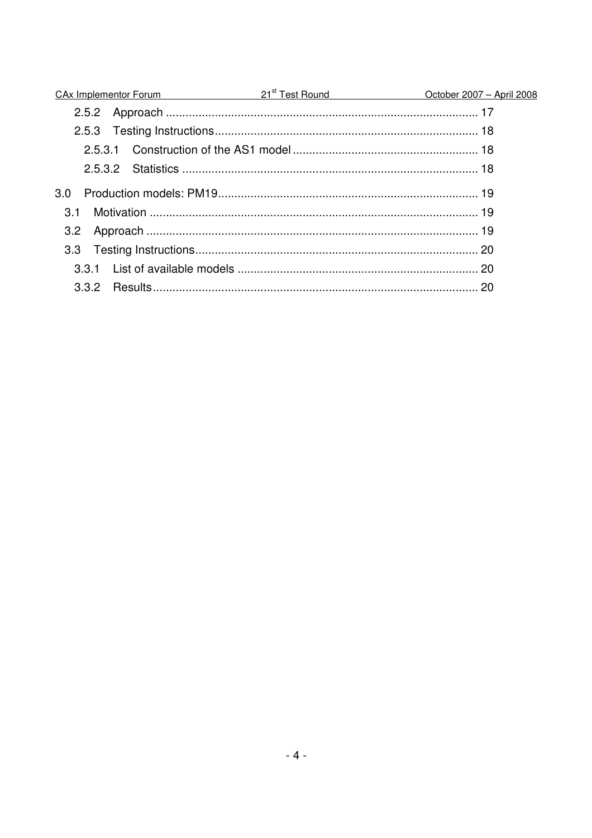|                  | CAx Implementor Forum 21 <sup>st</sup> Test Round CAx Implementor Forum 2008 |
|------------------|------------------------------------------------------------------------------|
|                  |                                                                              |
|                  |                                                                              |
|                  |                                                                              |
| 2.5.3.2          |                                                                              |
| 3.0 <sub>2</sub> |                                                                              |
| 3.1              |                                                                              |
|                  |                                                                              |
|                  |                                                                              |
|                  |                                                                              |
|                  |                                                                              |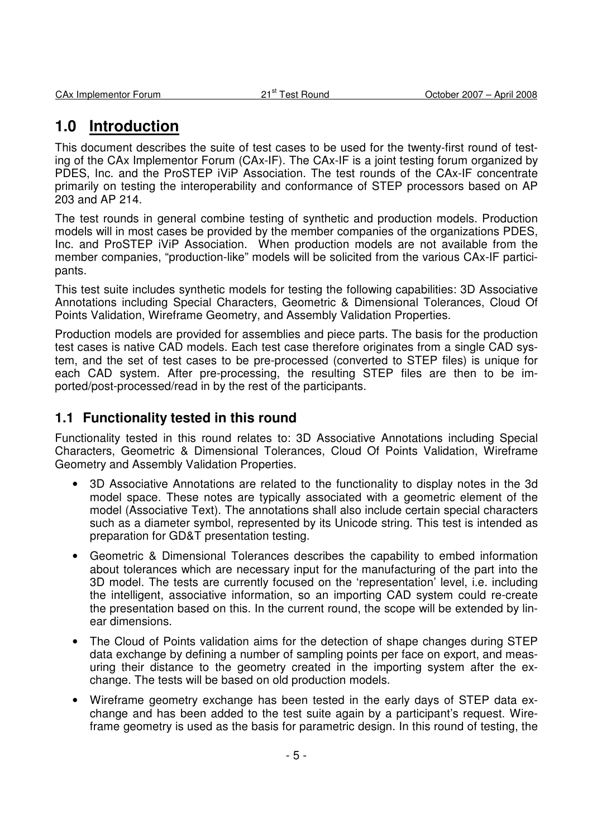## **1.0 Introduction**

This document describes the suite of test cases to be used for the twenty-first round of testing of the CAx Implementor Forum (CAx-IF). The CAx-IF is a joint testing forum organized by PDES, Inc. and the ProSTEP iViP Association. The test rounds of the CAx-IF concentrate primarily on testing the interoperability and conformance of STEP processors based on AP 203 and AP 214.

The test rounds in general combine testing of synthetic and production models. Production models will in most cases be provided by the member companies of the organizations PDES, Inc. and ProSTEP iViP Association. When production models are not available from the member companies, "production-like" models will be solicited from the various CAx-IF participants.

This test suite includes synthetic models for testing the following capabilities: 3D Associative Annotations including Special Characters, Geometric & Dimensional Tolerances, Cloud Of Points Validation, Wireframe Geometry, and Assembly Validation Properties.

Production models are provided for assemblies and piece parts. The basis for the production test cases is native CAD models. Each test case therefore originates from a single CAD system, and the set of test cases to be pre-processed (converted to STEP files) is unique for each CAD system. After pre-processing, the resulting STEP files are then to be imported/post-processed/read in by the rest of the participants.

### **1.1 Functionality tested in this round**

Functionality tested in this round relates to: 3D Associative Annotations including Special Characters, Geometric & Dimensional Tolerances, Cloud Of Points Validation, Wireframe Geometry and Assembly Validation Properties.

- 3D Associative Annotations are related to the functionality to display notes in the 3d model space. These notes are typically associated with a geometric element of the model (Associative Text). The annotations shall also include certain special characters such as a diameter symbol, represented by its Unicode string. This test is intended as preparation for GD&T presentation testing.
- Geometric & Dimensional Tolerances describes the capability to embed information about tolerances which are necessary input for the manufacturing of the part into the 3D model. The tests are currently focused on the 'representation' level, i.e. including the intelligent, associative information, so an importing CAD system could re-create the presentation based on this. In the current round, the scope will be extended by linear dimensions.
- The Cloud of Points validation aims for the detection of shape changes during STEP data exchange by defining a number of sampling points per face on export, and measuring their distance to the geometry created in the importing system after the exchange. The tests will be based on old production models.
- Wireframe geometry exchange has been tested in the early days of STEP data exchange and has been added to the test suite again by a participant's request. Wireframe geometry is used as the basis for parametric design. In this round of testing, the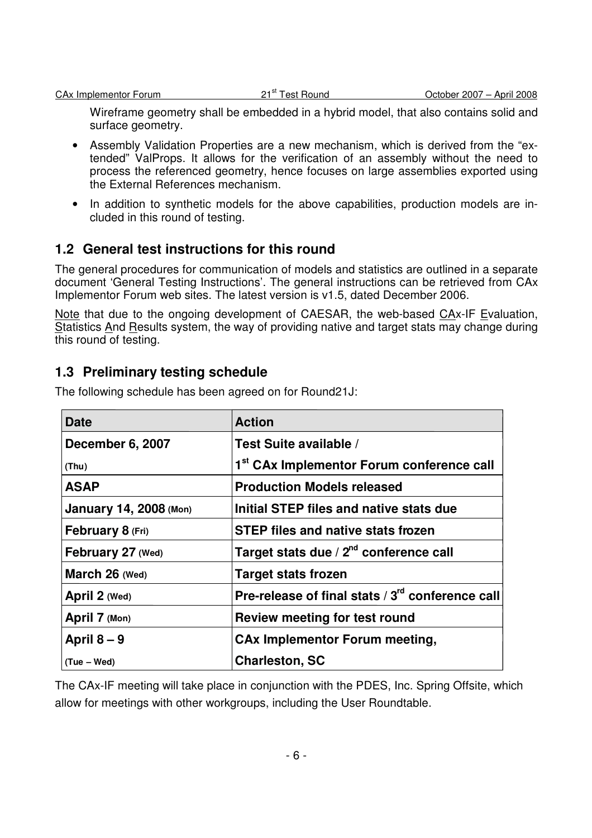Wireframe geometry shall be embedded in a hybrid model, that also contains solid and surface geometry.

- Assembly Validation Properties are a new mechanism, which is derived from the "extended" ValProps. It allows for the verification of an assembly without the need to process the referenced geometry, hence focuses on large assemblies exported using the External References mechanism.
- In addition to synthetic models for the above capabilities, production models are included in this round of testing.

## **1.2 General test instructions for this round**

The general procedures for communication of models and statistics are outlined in a separate document 'General Testing Instructions'. The general instructions can be retrieved from CAx Implementor Forum web sites. The latest version is v1.5, dated December 2006.

Note that due to the ongoing development of CAESAR, the web-based CAx-IF Evaluation, Statistics And Results system, the way of providing native and target stats may change during this round of testing.

### **1.3 Preliminary testing schedule**

| <b>Date</b>                   | <b>Action</b>                                                |
|-------------------------------|--------------------------------------------------------------|
| December 6, 2007              | Test Suite available /                                       |
| (Thu)                         | 1 <sup>st</sup> CAx Implementor Forum conference call        |
| <b>ASAP</b>                   | <b>Production Models released</b>                            |
| <b>January 14, 2008 (Mon)</b> | Initial STEP files and native stats due                      |
| February 8 (Fri)              | <b>STEP files and native stats frozen</b>                    |
| February 27 (Wed)             | Target stats due / 2 <sup>nd</sup> conference call           |
| March 26 (Wed)                | <b>Target stats frozen</b>                                   |
| April 2 (Wed)                 | Pre-release of final stats / 3 <sup>rd</sup> conference call |
| April 7 (Mon)                 | Review meeting for test round                                |
| April $8-9$                   | <b>CAx Implementor Forum meeting,</b>                        |
| (Tue – Wed)                   | <b>Charleston, SC</b>                                        |

The following schedule has been agreed on for Round21J:

The CAx-IF meeting will take place in conjunction with the PDES, Inc. Spring Offsite, which allow for meetings with other workgroups, including the User Roundtable.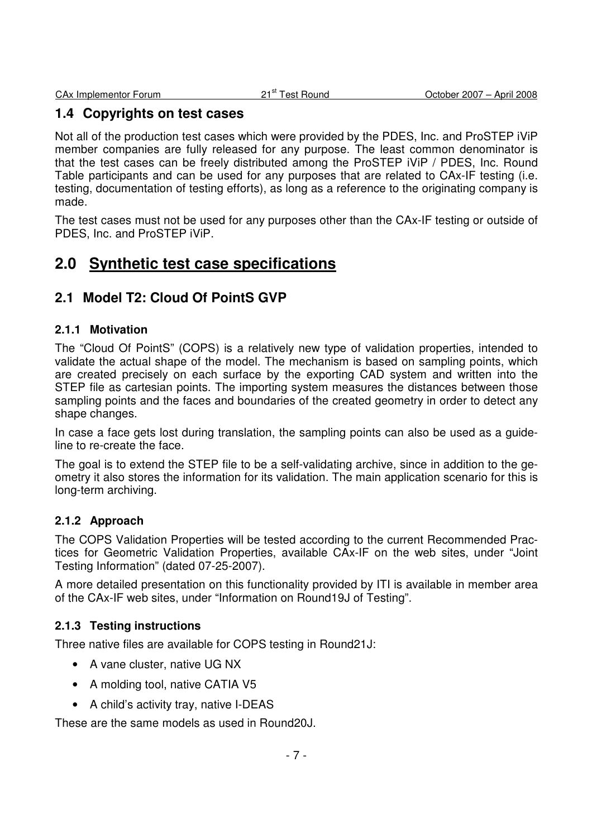### **1.4 Copyrights on test cases**

Not all of the production test cases which were provided by the PDES, Inc. and ProSTEP iViP member companies are fully released for any purpose. The least common denominator is that the test cases can be freely distributed among the ProSTEP iViP / PDES, Inc. Round Table participants and can be used for any purposes that are related to CAx-IF testing (i.e. testing, documentation of testing efforts), as long as a reference to the originating company is made.

The test cases must not be used for any purposes other than the CAx-IF testing or outside of PDES, Inc. and ProSTEP iViP.

## **2.0 Synthetic test case specifications**

## **2.1 Model T2: Cloud Of PointS GVP**

#### **2.1.1 Motivation**

The "Cloud Of PointS" (COPS) is a relatively new type of validation properties, intended to validate the actual shape of the model. The mechanism is based on sampling points, which are created precisely on each surface by the exporting CAD system and written into the STEP file as cartesian points. The importing system measures the distances between those sampling points and the faces and boundaries of the created geometry in order to detect any shape changes.

In case a face gets lost during translation, the sampling points can also be used as a guideline to re-create the face.

The goal is to extend the STEP file to be a self-validating archive, since in addition to the geometry it also stores the information for its validation. The main application scenario for this is long-term archiving.

#### **2.1.2 Approach**

The COPS Validation Properties will be tested according to the current Recommended Practices for Geometric Validation Properties, available CAx-IF on the web sites, under "Joint Testing Information" (dated 07-25-2007).

A more detailed presentation on this functionality provided by ITI is available in member area of the CAx-IF web sites, under "Information on Round19J of Testing".

#### **2.1.3 Testing instructions**

Three native files are available for COPS testing in Round21J:

- A vane cluster, native UG NX
- A molding tool, native CATIA V5
- A child's activity tray, native I-DEAS

These are the same models as used in Round20J.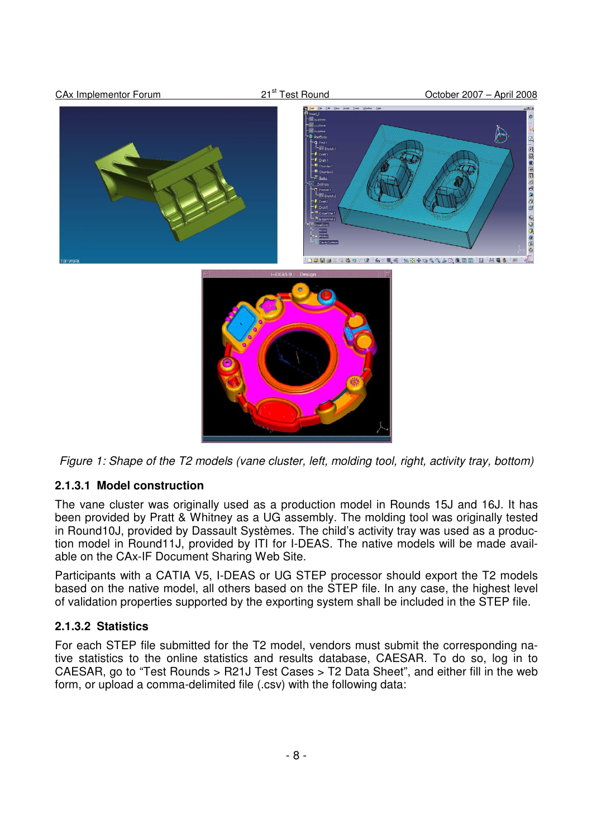

Figure 1: Shape of the T2 models (vane cluster, left, molding tool, right, activity tray, bottom)

#### **2.1.3.1 Model construction**

The vane cluster was originally used as a production model in Rounds 15J and 16J. It has been provided by Pratt & Whitney as a UG assembly. The molding tool was originally tested in Round10J, provided by Dassault Systèmes. The child's activity tray was used as a production model in Round11J, provided by ITI for I-DEAS. The native models will be made available on the CAx-IF Document Sharing Web Site.

Participants with a CATIA V5, I-DEAS or UG STEP processor should export the T2 models based on the native model, all others based on the STEP file. In any case, the highest level of validation properties supported by the exporting system shall be included in the STEP file.

#### **2.1.3.2 Statistics**

For each STEP file submitted for the T2 model, vendors must submit the corresponding native statistics to the online statistics and results database, CAESAR. To do so, log in to CAESAR, go to "Test Rounds > R21J Test Cases > T2 Data Sheet", and either fill in the web form, or upload a comma-delimited file (.csv) with the following data: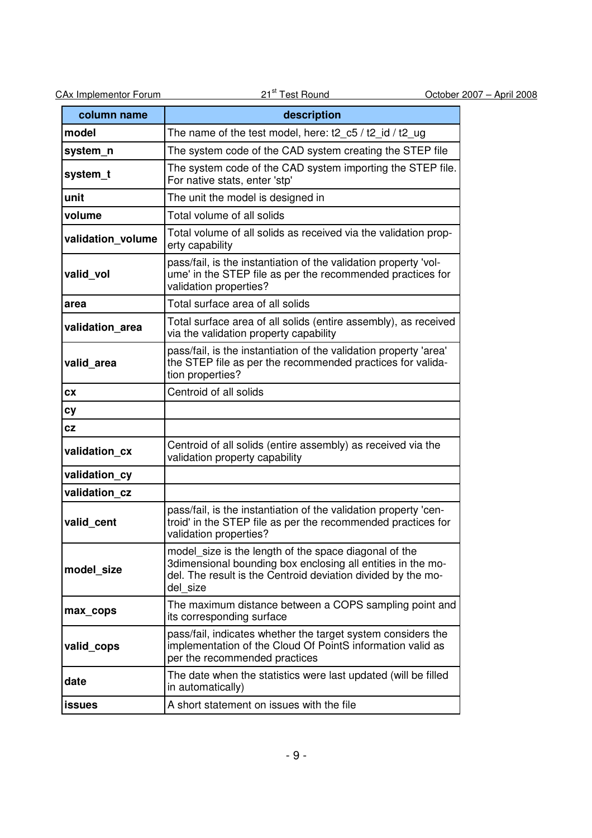| <b>CAx Implementor Forum</b> | 21 <sup>st</sup> Test Round                                                                                                                                                                      | October 2007 - April 2008 |
|------------------------------|--------------------------------------------------------------------------------------------------------------------------------------------------------------------------------------------------|---------------------------|
| column name                  | description                                                                                                                                                                                      |                           |
| model                        | The name of the test model, here: t2_c5 / t2_id / t2_ug                                                                                                                                          |                           |
| system_n                     | The system code of the CAD system creating the STEP file                                                                                                                                         |                           |
| system_t                     | The system code of the CAD system importing the STEP file.<br>For native stats, enter 'stp'                                                                                                      |                           |
| unit                         | The unit the model is designed in                                                                                                                                                                |                           |
| volume                       | Total volume of all solids                                                                                                                                                                       |                           |
| validation volume            | Total volume of all solids as received via the validation prop-<br>erty capability                                                                                                               |                           |
| valid_vol                    | pass/fail, is the instantiation of the validation property 'vol-<br>ume' in the STEP file as per the recommended practices for<br>validation properties?                                         |                           |
| area                         | Total surface area of all solids                                                                                                                                                                 |                           |
| validation area              | Total surface area of all solids (entire assembly), as received<br>via the validation property capability                                                                                        |                           |
| valid area                   | pass/fail, is the instantiation of the validation property 'area'<br>the STEP file as per the recommended practices for valida-<br>tion properties?                                              |                           |
| CX                           | Centroid of all solids                                                                                                                                                                           |                           |
| Сy                           |                                                                                                                                                                                                  |                           |
| cz                           |                                                                                                                                                                                                  |                           |
| validation_cx                | Centroid of all solids (entire assembly) as received via the<br>validation property capability                                                                                                   |                           |
| validation cv                |                                                                                                                                                                                                  |                           |
| validation cz                |                                                                                                                                                                                                  |                           |
| valid_cent                   | pass/fail, is the instantiation of the validation property 'cen-<br>troid' in the STEP file as per the recommended practices for<br>validation properties?                                       |                           |
| model_size                   | model size is the length of the space diagonal of the<br>3dimensional bounding box enclosing all entities in the mo-<br>del. The result is the Centroid deviation divided by the mo-<br>del size |                           |
| max_cops                     | The maximum distance between a COPS sampling point and<br>its corresponding surface                                                                                                              |                           |
| valid cops                   | pass/fail, indicates whether the target system considers the<br>implementation of the Cloud Of PointS information valid as<br>per the recommended practices                                      |                           |
| date                         | The date when the statistics were last updated (will be filled<br>in automatically)                                                                                                              |                           |
| <b>issues</b>                | A short statement on issues with the file                                                                                                                                                        |                           |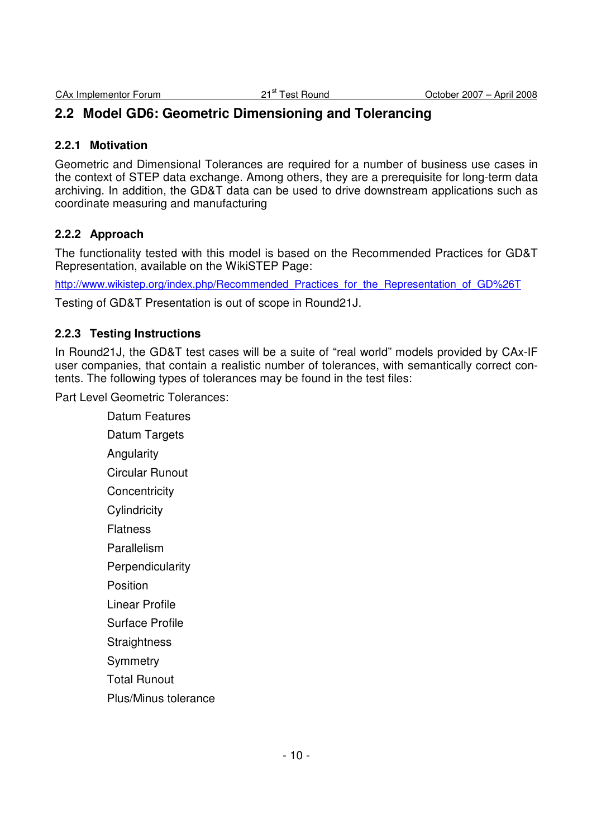## **2.2 Model GD6: Geometric Dimensioning and Tolerancing**

#### **2.2.1 Motivation**

Geometric and Dimensional Tolerances are required for a number of business use cases in the context of STEP data exchange. Among others, they are a prerequisite for long-term data archiving. In addition, the GD&T data can be used to drive downstream applications such as coordinate measuring and manufacturing

#### **2.2.2 Approach**

The functionality tested with this model is based on the Recommended Practices for GD&T Representation, available on the WikiSTEP Page:

http://www.wikistep.org/index.php/Recommended\_Practices\_for\_the\_Representation\_of\_GD%26T

Testing of GD&T Presentation is out of scope in Round21J.

#### **2.2.3 Testing Instructions**

In Round21J, the GD&T test cases will be a suite of "real world" models provided by CAx-IF user companies, that contain a realistic number of tolerances, with semantically correct contents. The following types of tolerances may be found in the test files:

Part Level Geometric Tolerances:

 Datum Features Datum Targets **Angularity**  Circular Runout **Concentricity Cylindricity**  Flatness Parallelism **Perpendicularity**  Position Linear Profile Surface Profile **Straightness Symmetry**  Total Runout Plus/Minus tolerance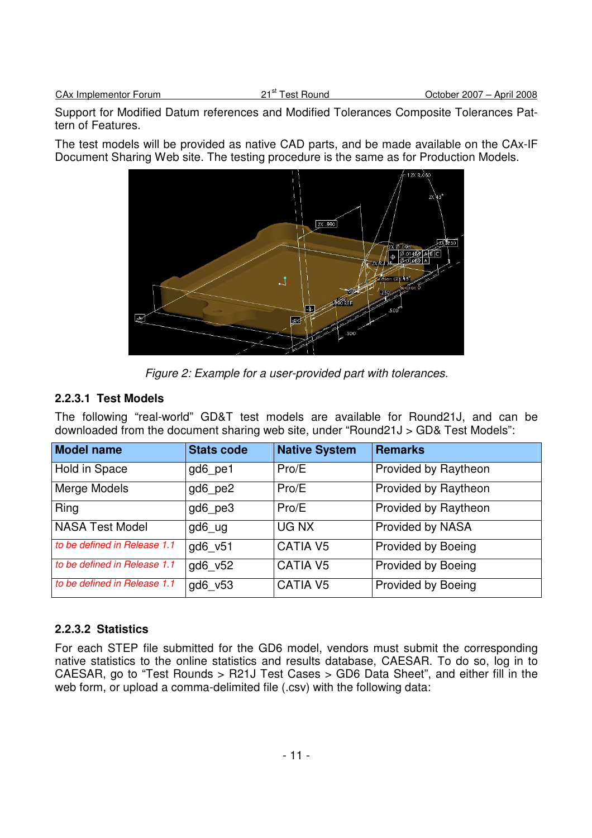Support for Modified Datum references and Modified Tolerances Composite Tolerances Pattern of Features.

The test models will be provided as native CAD parts, and be made available on the CAx-IF Document Sharing Web site. The testing procedure is the same as for Production Models.



Figure 2: Example for a user-provided part with tolerances.

#### **2.2.3.1 Test Models**

The following "real-world" GD&T test models are available for Round21J, and can be downloaded from the document sharing web site, under "Round21J > GD& Test Models":

| <b>Model name</b>            | <b>Stats code</b> | <b>Native System</b> | <b>Remarks</b>              |
|------------------------------|-------------------|----------------------|-----------------------------|
| Hold in Space                | gd6 pe1           | Pro/E                | Provided by Raytheon        |
| Merge Models                 | gd6 pe2           | Pro/E                | <b>Provided by Raytheon</b> |
| Ring                         | gd6 pe3           | Pro/E                | <b>Provided by Raytheon</b> |
| NASA Test Model              | gd6 ug            | UG NX                | Provided by NASA            |
| to be defined in Release 1.1 | gd6 v51           | <b>CATIA V5</b>      | <b>Provided by Boeing</b>   |
| to be defined in Release 1.1 | gd6 v52           | <b>CATIA V5</b>      | <b>Provided by Boeing</b>   |
| to be defined in Release 1.1 | gd6 v53           | <b>CATIA V5</b>      | <b>Provided by Boeing</b>   |

#### **2.2.3.2 Statistics**

For each STEP file submitted for the GD6 model, vendors must submit the corresponding native statistics to the online statistics and results database, CAESAR. To do so, log in to CAESAR, go to "Test Rounds > R21J Test Cases > GD6 Data Sheet", and either fill in the web form, or upload a comma-delimited file (.csv) with the following data: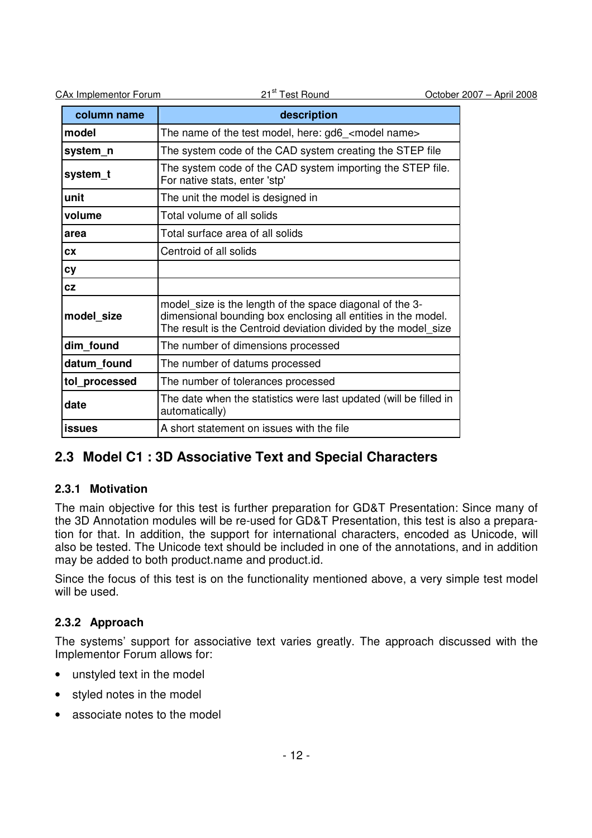| <b>CAx Implementor Forum</b> | 21 <sup>st</sup> Test Round                                                                                                                                                                 |  | October 2007 - April 2008 |
|------------------------------|---------------------------------------------------------------------------------------------------------------------------------------------------------------------------------------------|--|---------------------------|
| column name                  | description                                                                                                                                                                                 |  |                           |
| model                        | The name of the test model, here: gd6_ <model name=""></model>                                                                                                                              |  |                           |
| system_n                     | The system code of the CAD system creating the STEP file                                                                                                                                    |  |                           |
| system_t                     | The system code of the CAD system importing the STEP file.<br>For native stats, enter 'stp'                                                                                                 |  |                           |
| unit                         | The unit the model is designed in                                                                                                                                                           |  |                           |
| volume                       | Total volume of all solids                                                                                                                                                                  |  |                           |
| area                         | Total surface area of all solids                                                                                                                                                            |  |                           |
| <b>CX</b>                    | Centroid of all solids                                                                                                                                                                      |  |                           |
| <b>cy</b>                    |                                                                                                                                                                                             |  |                           |
| <b>CZ</b>                    |                                                                                                                                                                                             |  |                           |
| model_size                   | model size is the length of the space diagonal of the 3-<br>dimensional bounding box enclosing all entities in the model.<br>The result is the Centroid deviation divided by the model_size |  |                           |
| dim_found                    | The number of dimensions processed                                                                                                                                                          |  |                           |
| datum_found                  | The number of datums processed                                                                                                                                                              |  |                           |
| tol_processed                | The number of tolerances processed                                                                                                                                                          |  |                           |
| date                         | The date when the statistics were last updated (will be filled in<br>automatically)                                                                                                         |  |                           |
| <b>issues</b>                | A short statement on issues with the file                                                                                                                                                   |  |                           |

## **2.3 Model C1 : 3D Associative Text and Special Characters**

#### **2.3.1 Motivation**

The main objective for this test is further preparation for GD&T Presentation: Since many of the 3D Annotation modules will be re-used for GD&T Presentation, this test is also a preparation for that. In addition, the support for international characters, encoded as Unicode, will also be tested. The Unicode text should be included in one of the annotations, and in addition may be added to both product.name and product.id.

Since the focus of this test is on the functionality mentioned above, a very simple test model will be used.

#### **2.3.2 Approach**

The systems' support for associative text varies greatly. The approach discussed with the Implementor Forum allows for:

- unstyled text in the model
- styled notes in the model
- associate notes to the model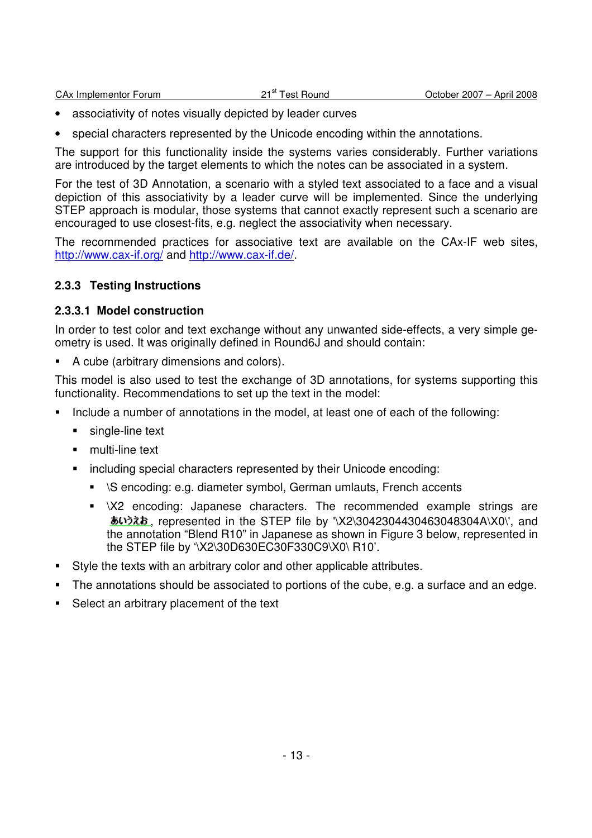| <b>CAx Implementor Forum</b> |  |
|------------------------------|--|
|                              |  |

- associativity of notes visually depicted by leader curves
- special characters represented by the Unicode encoding within the annotations.

The support for this functionality inside the systems varies considerably. Further variations are introduced by the target elements to which the notes can be associated in a system.

For the test of 3D Annotation, a scenario with a styled text associated to a face and a visual depiction of this associativity by a leader curve will be implemented. Since the underlying STEP approach is modular, those systems that cannot exactly represent such a scenario are encouraged to use closest-fits, e.g. neglect the associativity when necessary.

The recommended practices for associative text are available on the CAx-IF web sites, http://www.cax-if.org/ and http://www.cax-if.de/.

#### **2.3.3 Testing Instructions**

#### **2.3.3.1 Model construction**

In order to test color and text exchange without any unwanted side-effects, a very simple geometry is used. It was originally defined in Round6J and should contain:

A cube (arbitrary dimensions and colors).

This model is also used to test the exchange of 3D annotations, for systems supporting this functionality. Recommendations to set up the text in the model:

- Include a number of annotations in the model, at least one of each of the following:
	- **single-line text**
	- **F** multi-line text
	- **EXEDENT** including special characters represented by their Unicode encoding:
		- \S encoding: e.g. diameter symbol, German umlauts, French accents
		- **NAM**  $\overline{X}$  encoding: Japanese characters. The recommended example strings are  $\overline{b}$ . represented in the STEP file by '\X2\3042304430463048304A\X0\', and the annotation "Blend R10" in Japanese as shown in Figure 3 below, represented in the STEP file by '\X2\30D630EC30F330C9\X0\ R10'.
- Style the texts with an arbitrary color and other applicable attributes.
- The annotations should be associated to portions of the cube, e.g. a surface and an edge.
- Select an arbitrary placement of the text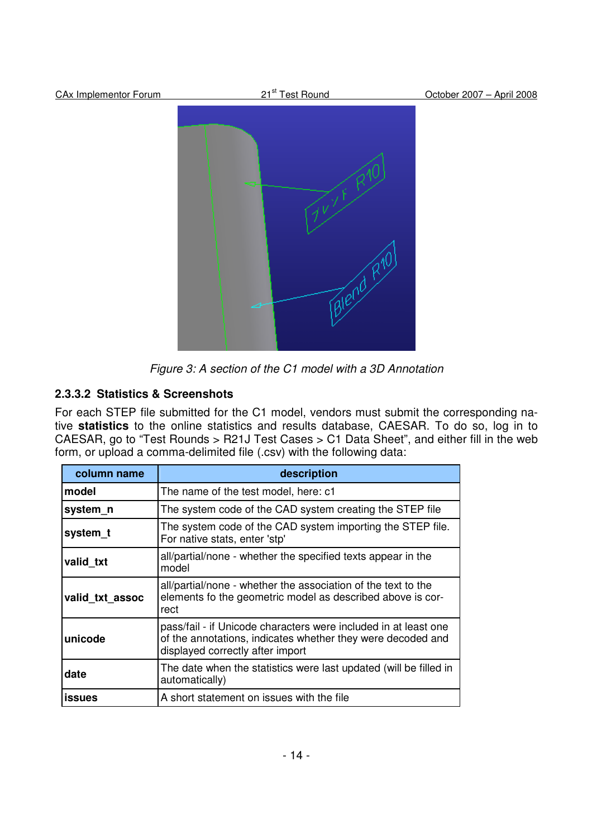

Figure 3: A section of the C1 model with a 3D Annotation

## **2.3.3.2 Statistics & Screenshots**

For each STEP file submitted for the C1 model, vendors must submit the corresponding native **statistics** to the online statistics and results database, CAESAR. To do so, log in to CAESAR, go to "Test Rounds > R21J Test Cases > C1 Data Sheet", and either fill in the web form, or upload a comma-delimited file (.csv) with the following data:

| column name                                                                                                                                            | description                                                                                                                                                        |  |  |
|--------------------------------------------------------------------------------------------------------------------------------------------------------|--------------------------------------------------------------------------------------------------------------------------------------------------------------------|--|--|
| model                                                                                                                                                  | The name of the test model, here: c1                                                                                                                               |  |  |
| system_n                                                                                                                                               | The system code of the CAD system creating the STEP file                                                                                                           |  |  |
| system_t                                                                                                                                               | The system code of the CAD system importing the STEP file.<br>For native stats, enter 'stp'                                                                        |  |  |
| valid_txt                                                                                                                                              | all/partial/none - whether the specified texts appear in the<br>model                                                                                              |  |  |
| all/partial/none - whether the association of the text to the<br>elements fo the geometric model as described above is cor-<br>valid txt assoc<br>rect |                                                                                                                                                                    |  |  |
| unicode                                                                                                                                                | pass/fail - if Unicode characters were included in at least one<br>of the annotations, indicates whether they were decoded and<br>displayed correctly after import |  |  |
| date                                                                                                                                                   | The date when the statistics were last updated (will be filled in<br>automatically)                                                                                |  |  |
| <b>issues</b>                                                                                                                                          | A short statement on issues with the file                                                                                                                          |  |  |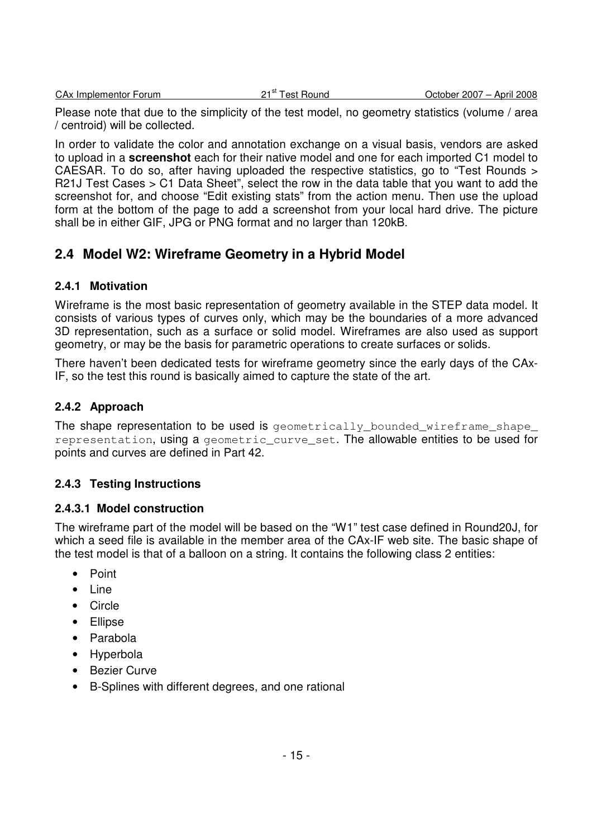|  | CA <sub>x</sub> Implementor Forum |  |
|--|-----------------------------------|--|

Please note that due to the simplicity of the test model, no geometry statistics (volume / area / centroid) will be collected.

In order to validate the color and annotation exchange on a visual basis, vendors are asked to upload in a **screenshot** each for their native model and one for each imported C1 model to CAESAR. To do so, after having uploaded the respective statistics, go to "Test Rounds > R21J Test Cases > C1 Data Sheet", select the row in the data table that you want to add the screenshot for, and choose "Edit existing stats" from the action menu. Then use the upload form at the bottom of the page to add a screenshot from your local hard drive. The picture shall be in either GIF, JPG or PNG format and no larger than 120kB.

## **2.4 Model W2: Wireframe Geometry in a Hybrid Model**

#### **2.4.1 Motivation**

Wireframe is the most basic representation of geometry available in the STEP data model. It consists of various types of curves only, which may be the boundaries of a more advanced 3D representation, such as a surface or solid model. Wireframes are also used as support geometry, or may be the basis for parametric operations to create surfaces or solids.

There haven't been dedicated tests for wireframe geometry since the early days of the CAx-IF, so the test this round is basically aimed to capture the state of the art.

#### **2.4.2 Approach**

The shape representation to be used is geometrically\_bounded\_wireframe\_shape\_ representation, using a geometric\_curve\_set. The allowable entities to be used for points and curves are defined in Part 42.

#### **2.4.3 Testing Instructions**

#### **2.4.3.1 Model construction**

The wireframe part of the model will be based on the "W1" test case defined in Round20J, for which a seed file is available in the member area of the CAx-IF web site. The basic shape of the test model is that of a balloon on a string. It contains the following class 2 entities:

- Point
- Line
- Circle
- Ellipse
- Parabola
- Hyperbola
- Bezier Curve
- B-Splines with different degrees, and one rational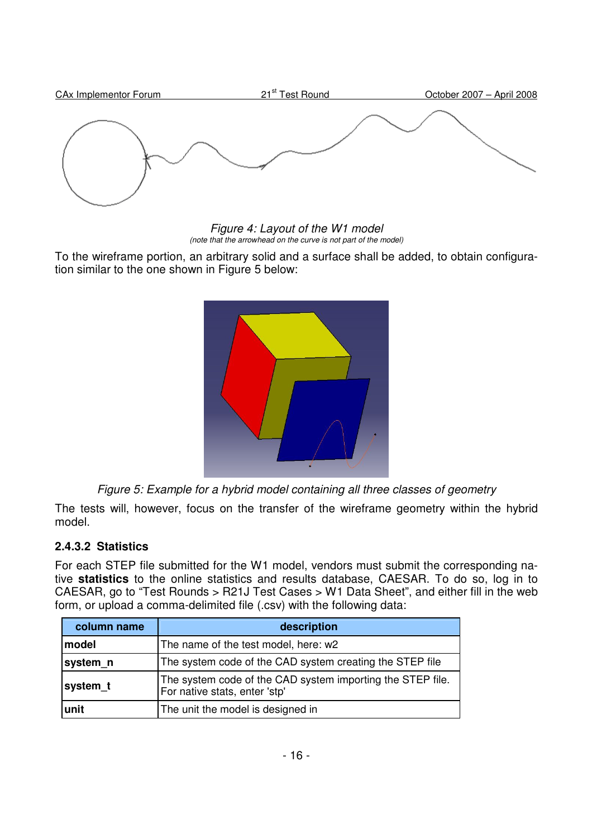

Figure 4: Layout of the W1 model (note that the arrowhead on the curve is not part of the model)

To the wireframe portion, an arbitrary solid and a surface shall be added, to obtain configuration similar to the one shown in Figure 5 below:



Figure 5: Example for a hybrid model containing all three classes of geometry

The tests will, however, focus on the transfer of the wireframe geometry within the hybrid model.

#### **2.4.3.2 Statistics**

For each STEP file submitted for the W1 model, vendors must submit the corresponding native **statistics** to the online statistics and results database, CAESAR. To do so, log in to CAESAR, go to "Test Rounds > R21J Test Cases > W1 Data Sheet", and either fill in the web form, or upload a comma-delimited file (.csv) with the following data:

| column name                                                                                             | description                                              |  |  |
|---------------------------------------------------------------------------------------------------------|----------------------------------------------------------|--|--|
| model                                                                                                   | The name of the test model, here: w2                     |  |  |
| system_n                                                                                                | The system code of the CAD system creating the STEP file |  |  |
| The system code of the CAD system importing the STEP file.<br>system_t<br>For native stats, enter 'stp' |                                                          |  |  |
| lunit                                                                                                   | The unit the model is designed in                        |  |  |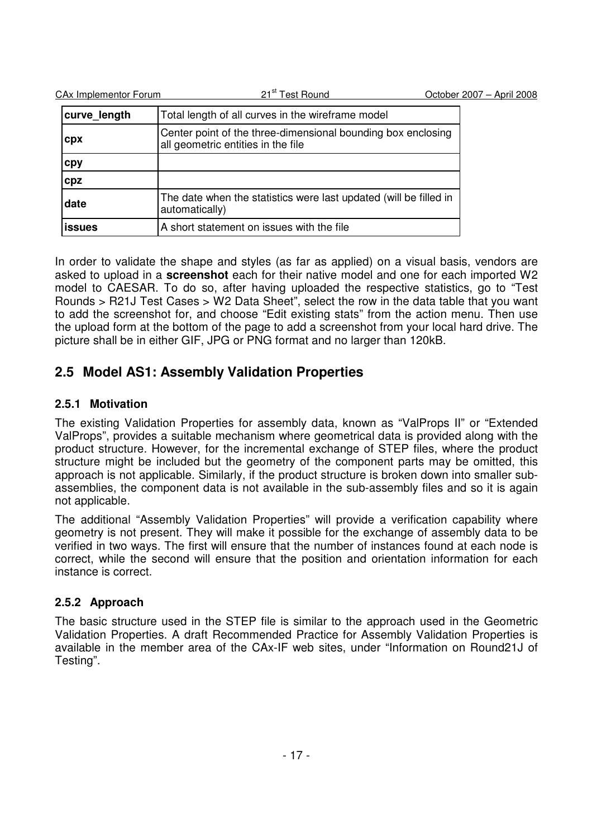| CA <sub>x</sub> Implementor Forum | 21 <sup>st</sup> Test Round                                                                        | October 2007 - April 2008 |
|-----------------------------------|----------------------------------------------------------------------------------------------------|---------------------------|
| curve length                      | Total length of all curves in the wireframe model                                                  |                           |
| cpx                               | Center point of the three-dimensional bounding box enclosing<br>all geometric entities in the file |                           |
| cpy                               |                                                                                                    |                           |
| cpz                               |                                                                                                    |                           |
| date                              | The date when the statistics were last updated (will be filled in<br>automatically)                |                           |
| <b>issues</b>                     | A short statement on issues with the file                                                          |                           |

In order to validate the shape and styles (as far as applied) on a visual basis, vendors are asked to upload in a **screenshot** each for their native model and one for each imported W2 model to CAESAR. To do so, after having uploaded the respective statistics, go to "Test Rounds > R21J Test Cases > W2 Data Sheet", select the row in the data table that you want to add the screenshot for, and choose "Edit existing stats" from the action menu. Then use the upload form at the bottom of the page to add a screenshot from your local hard drive. The picture shall be in either GIF, JPG or PNG format and no larger than 120kB.

## **2.5 Model AS1: Assembly Validation Properties**

### **2.5.1 Motivation**

The existing Validation Properties for assembly data, known as "ValProps II" or "Extended ValProps", provides a suitable mechanism where geometrical data is provided along with the product structure. However, for the incremental exchange of STEP files, where the product structure might be included but the geometry of the component parts may be omitted, this approach is not applicable. Similarly, if the product structure is broken down into smaller subassemblies, the component data is not available in the sub-assembly files and so it is again not applicable.

The additional "Assembly Validation Properties" will provide a verification capability where geometry is not present. They will make it possible for the exchange of assembly data to be verified in two ways. The first will ensure that the number of instances found at each node is correct, while the second will ensure that the position and orientation information for each instance is correct.

## **2.5.2 Approach**

The basic structure used in the STEP file is similar to the approach used in the Geometric Validation Properties. A draft Recommended Practice for Assembly Validation Properties is available in the member area of the CAx-IF web sites, under "Information on Round21J of Testing".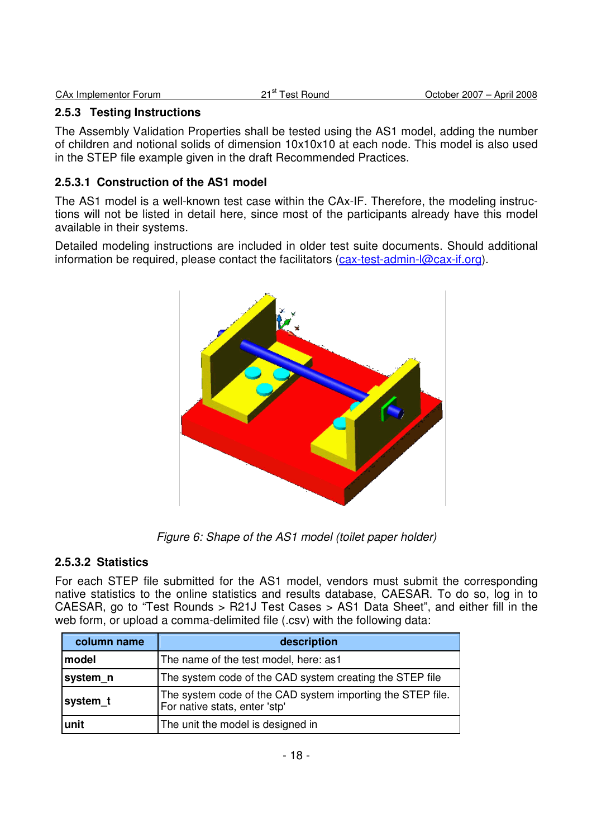| CAx Implementor Forum | 21 <sup>st</sup> Test Round | October 2007 - April 2008 |
|-----------------------|-----------------------------|---------------------------|
|                       |                             |                           |

#### **2.5.3 Testing Instructions**

The Assembly Validation Properties shall be tested using the AS1 model, adding the number of children and notional solids of dimension 10x10x10 at each node. This model is also used in the STEP file example given in the draft Recommended Practices.

#### **2.5.3.1 Construction of the AS1 model**

The AS1 model is a well-known test case within the CAx-IF. Therefore, the modeling instructions will not be listed in detail here, since most of the participants already have this model available in their systems.

Detailed modeling instructions are included in older test suite documents. Should additional information be required, please contact the facilitators (cax-test-admin-l@cax-if.org).



Figure 6: Shape of the AS1 model (toilet paper holder)

#### **2.5.3.2 Statistics**

For each STEP file submitted for the AS1 model, vendors must submit the corresponding native statistics to the online statistics and results database, CAESAR. To do so, log in to CAESAR, go to "Test Rounds > R21J Test Cases > AS1 Data Sheet", and either fill in the web form, or upload a comma-delimited file (.csv) with the following data:

| column name | description                                                                                 |
|-------------|---------------------------------------------------------------------------------------------|
| model       | The name of the test model, here: as1                                                       |
| system_n    | The system code of the CAD system creating the STEP file                                    |
| system_t    | The system code of the CAD system importing the STEP file.<br>For native stats, enter 'stp' |
| unit        | The unit the model is designed in                                                           |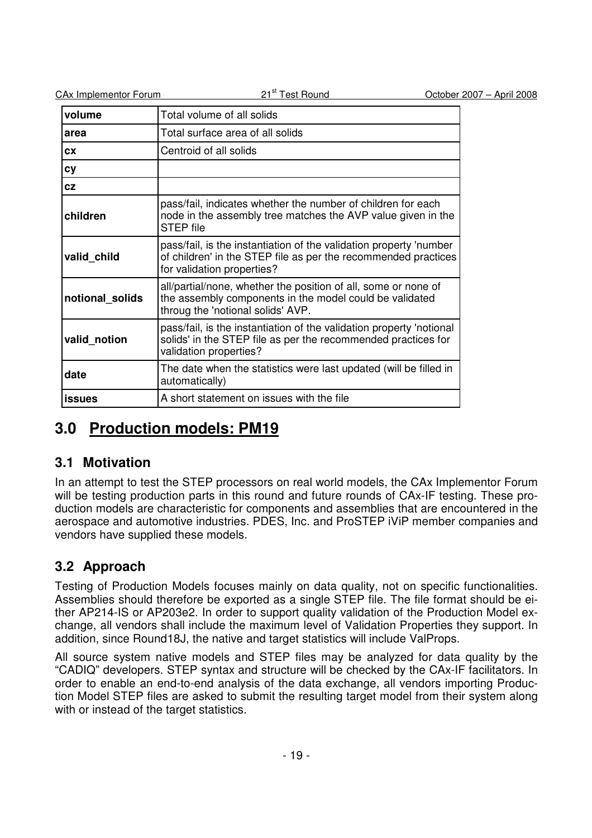| <b>CAx Implementor Forum</b> | 21 <sup>st</sup> Test Round                                                                                                                                        | October 2007 - April 2008 |
|------------------------------|--------------------------------------------------------------------------------------------------------------------------------------------------------------------|---------------------------|
| volume                       | Total volume of all solids                                                                                                                                         |                           |
| area                         | Total surface area of all solids                                                                                                                                   |                           |
| <b>CX</b>                    | Centroid of all solids                                                                                                                                             |                           |
| cy                           |                                                                                                                                                                    |                           |
| <b>CZ</b>                    |                                                                                                                                                                    |                           |
| children                     | pass/fail, indicates whether the number of children for each<br>node in the assembly tree matches the AVP value given in the<br><b>STEP file</b>                   |                           |
| valid_child                  | pass/fail, is the instantiation of the validation property 'number<br>of children' in the STEP file as per the recommended practices<br>for validation properties? |                           |
| notional solids              | all/partial/none, whether the position of all, some or none of<br>the assembly components in the model could be validated<br>throug the 'notional solids' AVP.     |                           |
| valid_notion                 | pass/fail, is the instantiation of the validation property 'notional<br>solids' in the STEP file as per the recommended practices for<br>validation properties?    |                           |
| date                         | The date when the statistics were last updated (will be filled in<br>automatically)                                                                                |                           |
| <b>issues</b>                | A short statement on issues with the file                                                                                                                          |                           |

# **3.0 Production models: PM19**

## **3.1 Motivation**

In an attempt to test the STEP processors on real world models, the CAx Implementor Forum will be testing production parts in this round and future rounds of CAx-IF testing. These production models are characteristic for components and assemblies that are encountered in the aerospace and automotive industries. PDES, Inc. and ProSTEP iViP member companies and vendors have supplied these models.

## **3.2 Approach**

Testing of Production Models focuses mainly on data quality, not on specific functionalities. Assemblies should therefore be exported as a single STEP file. The file format should be either AP214-IS or AP203e2. In order to support quality validation of the Production Model exchange, all vendors shall include the maximum level of Validation Properties they support. In addition, since Round18J, the native and target statistics will include ValProps.

All source system native models and STEP files may be analyzed for data quality by the "CADIQ" developers. STEP syntax and structure will be checked by the CAx-IF facilitators. In order to enable an end-to-end analysis of the data exchange, all vendors importing Production Model STEP files are asked to submit the resulting target model from their system along with or instead of the target statistics.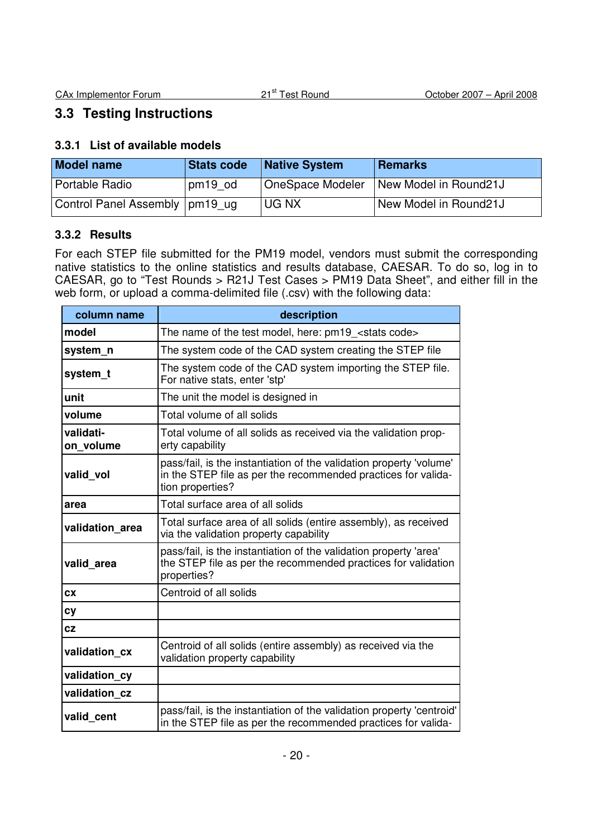## **3.3 Testing Instructions**

#### **3.3.1 List of available models**

| <b>Model name</b>                | Stats code | <b>Native System</b> | <b>Remarks</b>        |
|----------------------------------|------------|----------------------|-----------------------|
| Portable Radio                   | pm19 od    | OneSpace Modeler     | New Model in Round21J |
| Control Panel Assembly   pm19 ug |            | UG NX                | New Model in Round21J |

#### **3.3.2 Results**

For each STEP file submitted for the PM19 model, vendors must submit the corresponding native statistics to the online statistics and results database, CAESAR. To do so, log in to CAESAR, go to "Test Rounds > R21J Test Cases > PM19 Data Sheet", and either fill in the web form, or upload a comma-delimited file (.csv) with the following data:

| column name            | description                                                                                                                                              |  |  |
|------------------------|----------------------------------------------------------------------------------------------------------------------------------------------------------|--|--|
| model                  | The name of the test model, here: pm19 <stats code=""></stats>                                                                                           |  |  |
| system n               | The system code of the CAD system creating the STEP file                                                                                                 |  |  |
| system t               | The system code of the CAD system importing the STEP file.<br>For native stats, enter 'stp'                                                              |  |  |
| unit                   | The unit the model is designed in                                                                                                                        |  |  |
| volume                 | Total volume of all solids                                                                                                                               |  |  |
| validati-<br>on volume | Total volume of all solids as received via the validation prop-<br>erty capability                                                                       |  |  |
| valid vol              | pass/fail, is the instantiation of the validation property 'volume'<br>in the STEP file as per the recommended practices for valida-<br>tion properties? |  |  |
| area                   | Total surface area of all solids                                                                                                                         |  |  |
| validation area        | Total surface area of all solids (entire assembly), as received<br>via the validation property capability                                                |  |  |
| valid area             | pass/fail, is the instantiation of the validation property 'area'<br>the STEP file as per the recommended practices for validation<br>properties?        |  |  |
| <b>CX</b>              | Centroid of all solids                                                                                                                                   |  |  |
| cy                     |                                                                                                                                                          |  |  |
| cz                     |                                                                                                                                                          |  |  |
| validation cx          | Centroid of all solids (entire assembly) as received via the<br>validation property capability                                                           |  |  |
| validation_cy          |                                                                                                                                                          |  |  |
| validation cz          |                                                                                                                                                          |  |  |
| valid_cent             | pass/fail, is the instantiation of the validation property 'centroid'<br>in the STEP file as per the recommended practices for valida-                   |  |  |